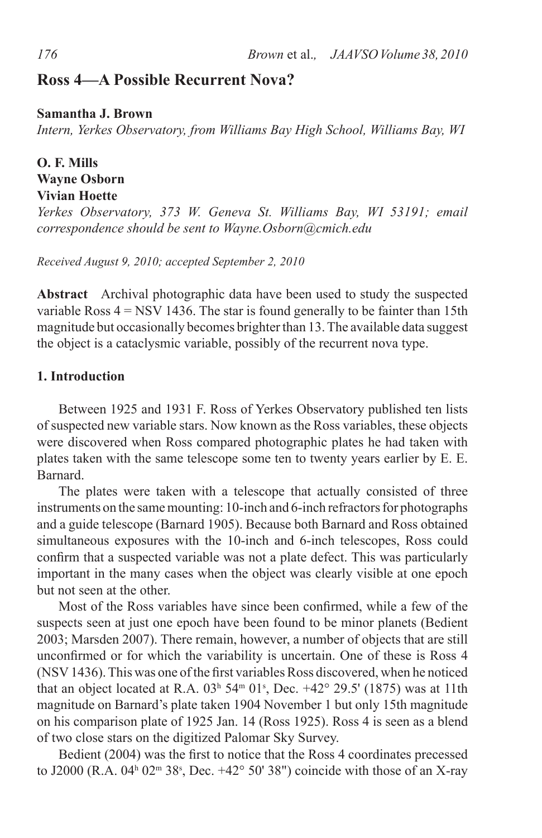# **Ross 4—A Possible Recurrent Nova?**

#### **Samantha J. Brown**

*Intern, Yerkes Observatory, from Williams Bay High School, Williams Bay, WI*

## **O. F. Mills Wayne Osborn Vivian Hoette**

*Yerkes Observatory, 373 W. Geneva St. Williams Bay, WI 53191; email correspondence should be sent to Wayne.Osborn@cmich.edu*

*Received August 9, 2010; accepted September 2, 2010*

**Abstract** Archival photographic data have been used to study the suspected variable Ross  $4 =$  NSV 1436. The star is found generally to be fainter than 15th magnitude but occasionally becomes brighter than 13. The available data suggest the object is a cataclysmic variable, possibly of the recurrent nova type.

# **1. Introduction**

Between 1925 and 1931 F. Ross of Yerkes Observatory published ten lists of suspected new variable stars. Now known as the Ross variables, these objects were discovered when Ross compared photographic plates he had taken with plates taken with the same telescope some ten to twenty years earlier by E. E. Barnard.

The plates were taken with a telescope that actually consisted of three instruments on the same mounting: 10-inch and 6-inch refractors for photographs and a guide telescope (Barnard 1905). Because both Barnard and Ross obtained simultaneous exposures with the 10-inch and 6-inch telescopes, Ross could confirm that a suspected variable was not a plate defect. This was particularly important in the many cases when the object was clearly visible at one epoch but not seen at the other.

Most of the Ross variables have since been confirmed, while a few of the suspects seen at just one epoch have been found to be minor planets (Bedient 2003; Marsden 2007). There remain, however, a number of objects that are still unconfirmed or for which the variability is uncertain. One of these is Ross 4 (NSV 1436). This was one of the first variables Ross discovered, when he noticed that an object located at R.A.  $03<sup>h</sup> 54<sup>m</sup> 01<sup>s</sup>$ , Dec.  $+42<sup>o</sup> 29.5'$  (1875) was at 11th magnitude on Barnard's plate taken 1904 November 1 but only 15th magnitude on his comparison plate of 1925 Jan. 14 (Ross 1925). Ross 4 is seen as a blend of two close stars on the digitized Palomar Sky Survey.

Bedient (2004) was the first to notice that the Ross 4 coordinates precessed to J2000 (R.A. 04<sup>h</sup> 02<sup>m</sup> 38<sup>s</sup>, Dec. +42<sup>o</sup> 50' 38") coincide with those of an X-ray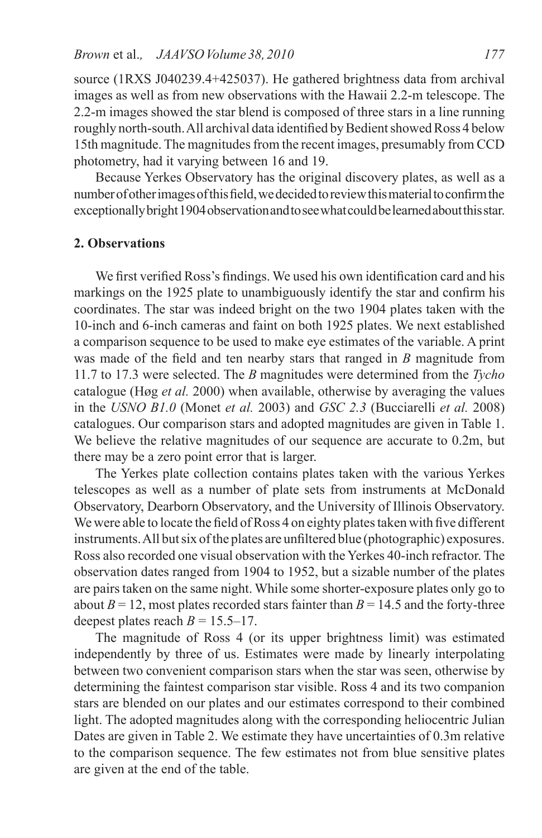source (1RXS J040239.4+425037). He gathered brightness data from archival images as well as from new observations with the Hawaii 2.2-m telescope. The 2.2-m images showed the star blend is composed of three stars in a line running roughly north-south. All archival data identified by Bedient showed Ross 4 below 15th magnitude. The magnitudes from the recent images, presumably from CCD photometry, had it varying between 16 and 19.

Because Yerkes Observatory has the original discovery plates, as well as a number of other images of this field, we decided to review this material to confirm the exceptionally bright 1904 observation and to see what could be learned about this star.

#### **2. Observations**

We first verified Ross's findings. We used his own identification card and his markings on the 1925 plate to unambiguously identify the star and confirm his coordinates. The star was indeed bright on the two 1904 plates taken with the 10-inch and 6-inch cameras and faint on both 1925 plates. We next established a comparison sequence to be used to make eye estimates of the variable. A print was made of the field and ten nearby stars that ranged in *B* magnitude from 11.7 to 17.3 were selected. The *B* magnitudes were determined from the *Tycho* catalogue (Høg *et al.* 2000) when available, otherwise by averaging the values in the *USNO B1.0* (Monet *et al.* 2003) and *GSC 2.3* (Bucciarelli *et al.* 2008) catalogues. Our comparison stars and adopted magnitudes are given in Table 1. We believe the relative magnitudes of our sequence are accurate to 0.2m, but there may be a zero point error that is larger.

The Yerkes plate collection contains plates taken with the various Yerkes telescopes as well as a number of plate sets from instruments at McDonald Observatory, Dearborn Observatory, and the University of Illinois Observatory. We were able to locate the field of Ross 4 on eighty plates taken with five different instruments. All but six of the plates are unfiltered blue (photographic) exposures. Ross also recorded one visual observation with the Yerkes 40-inch refractor. The observation dates ranged from 1904 to 1952, but a sizable number of the plates are pairs taken on the same night. While some shorter-exposure plates only go to about  $B = 12$ , most plates recorded stars fainter than  $B = 14.5$  and the forty-three deepest plates reach  $B = 15.5 - 17$ .

The magnitude of Ross 4 (or its upper brightness limit) was estimated independently by three of us. Estimates were made by linearly interpolating between two convenient comparison stars when the star was seen, otherwise by determining the faintest comparison star visible. Ross 4 and its two companion stars are blended on our plates and our estimates correspond to their combined light. The adopted magnitudes along with the corresponding heliocentric Julian Dates are given in Table 2. We estimate they have uncertainties of 0.3m relative to the comparison sequence. The few estimates not from blue sensitive plates are given at the end of the table.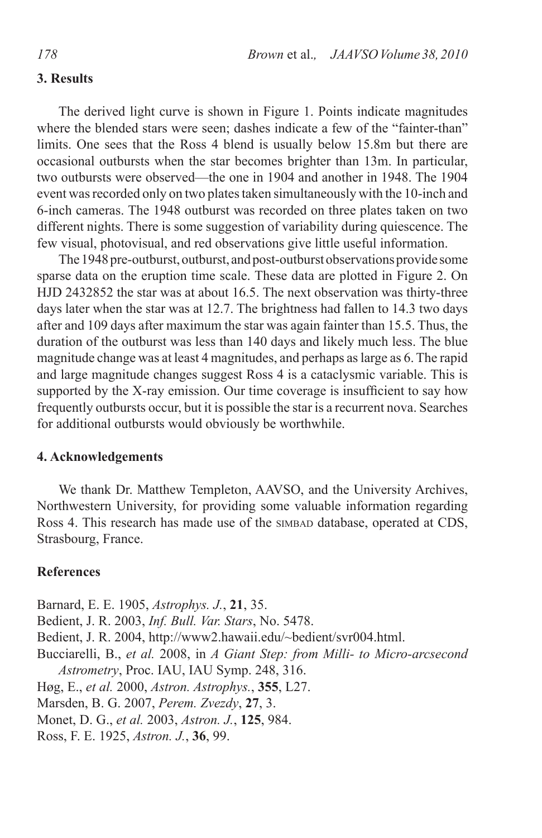### **3. Results**

The derived light curve is shown in Figure 1. Points indicate magnitudes where the blended stars were seen; dashes indicate a few of the "fainter-than" limits. One sees that the Ross 4 blend is usually below 15.8m but there are occasional outbursts when the star becomes brighter than 13m. In particular, two outbursts were observed—the one in 1904 and another in 1948. The 1904 event was recorded only on two plates taken simultaneously with the 10-inch and 6-inch cameras. The 1948 outburst was recorded on three plates taken on two different nights. There is some suggestion of variability during quiescence. The few visual, photovisual, and red observations give little useful information.

The 1948 pre-outburst, outburst, and post-outburst observations provide some sparse data on the eruption time scale. These data are plotted in Figure 2. On HJD 2432852 the star was at about 16.5. The next observation was thirty-three days later when the star was at 12.7. The brightness had fallen to 14.3 two days after and 109 days after maximum the star was again fainter than 15.5. Thus, the duration of the outburst was less than 140 days and likely much less. The blue magnitude change was at least 4 magnitudes, and perhaps as large as 6. The rapid and large magnitude changes suggest Ross 4 is a cataclysmic variable. This is supported by the X-ray emission. Our time coverage is insufficient to say how frequently outbursts occur, but it is possible the star is a recurrent nova. Searches for additional outbursts would obviously be worthwhile.

# **4. Acknowledgements**

We thank Dr. Matthew Templeton, AAVSO, and the University Archives, Northwestern University, for providing some valuable information regarding Ross 4. This research has made use of the similar database, operated at CDS, Strasbourg, France.

#### **References**

Barnard, E. E. 1905, *Astrophys. J.*, **21**, 35. Bedient, J. R. 2003, *Inf. Bull. Var. Stars*, No. 5478. Bedient, J. R. 2004, http://www2.hawaii.edu/~bedient/svr004.html. Bucciarelli, B., *et al.* 2008, in *A Giant Step: from Milli- to Micro-arcsecond Astrometry*, Proc. IAU, IAU Symp. 248, 316. Høg, E., *et al.* 2000, *Astron. Astrophys.*, **355**, L27. Marsden, B. G. 2007, *Perem. Zvezdy*, **27**, 3. Monet, D. G., *et al.* 2003, *Astron. J.*, **125**, 984. Ross, F. E. 1925, *Astron. J.*, **36**, 99.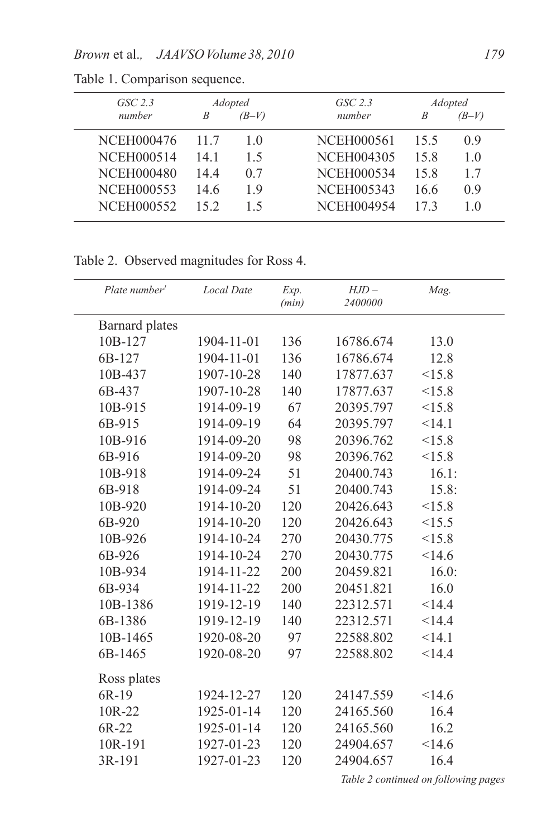| $GSC$ 2.3         | <b>Adopted</b> |         | $GSC$ 2.3         |      | <i>Adopted</i> |  |
|-------------------|----------------|---------|-------------------|------|----------------|--|
| number            |                | $(B-V)$ | number            | B    | $(B-V)$        |  |
| <b>NCEH000476</b> | 117            | 10      | NCEH000561        | 15.5 | 09             |  |
| <b>NCEH000514</b> | 14 1           | 15      | <b>NCEH004305</b> | 15.8 | 1 <sub>0</sub> |  |
| <b>NCEH000480</b> | 144            | 0.7     | NCEH000534        | 15.8 | 17             |  |
| NCEH000553        | 14.6           | 19      | <b>NCEH005343</b> | 16.6 | 09             |  |
| NCEH000552        | 152            | 15      | NCEH004954        | 173  | 10             |  |

Table 1. Comparison sequence.

Table 2. Observed magnitudes for Ross 4.

| Plate number <sup>1</sup> | <b>Local Date</b> | Exp.<br>(min) | $HJD -$<br>2400000 | Mag.  |
|---------------------------|-------------------|---------------|--------------------|-------|
| <b>Barnard</b> plates     |                   |               |                    |       |
| 10B-127                   | 1904-11-01        | 136           | 16786.674          | 13.0  |
| 6B-127                    | 1904-11-01        | 136           | 16786.674          | 12.8  |
| 10B-437                   | 1907-10-28        | 140           | 17877.637          | <15.8 |
| 6B-437                    | 1907-10-28        | 140           | 17877.637          | <15.8 |
| 10B-915                   | 1914-09-19        | 67            | 20395.797          | <15.8 |
| 6B-915                    | 1914-09-19        | 64            | 20395.797          | <14.1 |
| 10B-916                   | 1914-09-20        | 98            | 20396.762          | <15.8 |
| 6B-916                    | 1914-09-20        | 98            | 20396.762          | <15.8 |
| 10B-918                   | 1914-09-24        | 51            | 20400.743          | 16.1: |
| 6B-918                    | 1914-09-24        | 51            | 20400.743          | 15.8: |
| 10B-920                   | 1914-10-20        | 120           | 20426.643          | <15.8 |
| 6B-920                    | 1914-10-20        | 120           | 20426.643          | <15.5 |
| 10B-926                   | 1914-10-24        | 270           | 20430.775          | <15.8 |
| 6B-926                    | 1914-10-24        | 270           | 20430.775          | <14.6 |
| 10B-934                   | 1914-11-22        | 200           | 20459.821          | 16.0: |
| 6B-934                    | 1914-11-22        | 200           | 20451.821          | 16.0  |
| 10B-1386                  | 1919-12-19        | 140           | 22312.571          | <14.4 |
| 6B-1386                   | 1919-12-19        | 140           | 22312.571          | <14.4 |
| 10B-1465                  | 1920-08-20        | 97            | 22588.802          | <14.1 |
| 6B-1465                   | 1920-08-20        | 97            | 22588.802          | <14.4 |
| Ross plates               |                   |               |                    |       |
| 6R-19                     | 1924-12-27        | 120           | 24147.559          | <14.6 |
| 10R-22                    | 1925-01-14        | 120           | 24165.560          | 16.4  |
| $6R-22$                   | 1925-01-14        | 120           | 24165.560          | 16.2  |
| 10R-191                   | 1927-01-23        | 120           | 24904.657          | <14.6 |
| 3R-191                    | 1927-01-23        | 120           | 24904.657          | 16.4  |

*Table 2 continued on following pages*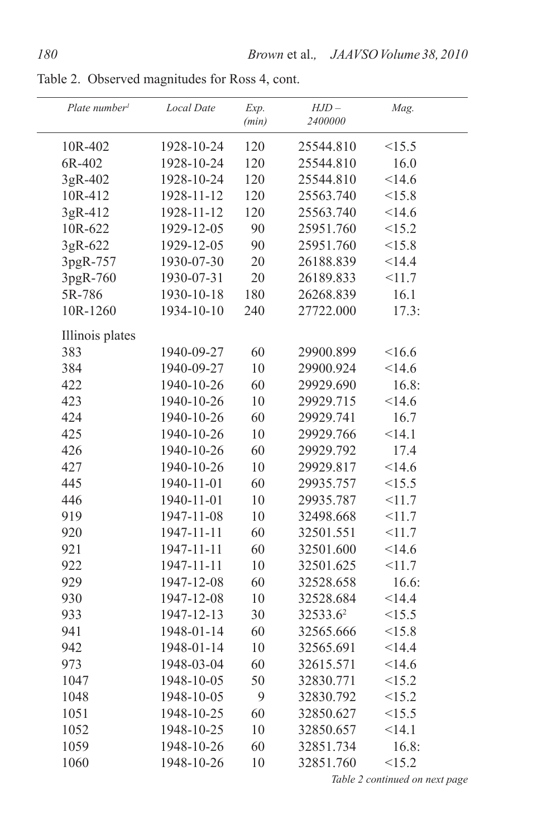| Plate number <sup>1</sup> | <b>Local Date</b> | Exp.<br>(min) | $HJD -$<br>2400000 | Mag.  |  |
|---------------------------|-------------------|---------------|--------------------|-------|--|
| 10R-402                   | 1928-10-24        | 120           | 25544.810          | <15.5 |  |
| 6R-402                    | 1928-10-24        | 120           | 25544.810          | 16.0  |  |
| 3gR-402                   | 1928-10-24        | 120           | 25544.810          | <14.6 |  |
| 10R-412                   | 1928-11-12        | 120           | 25563.740          | <15.8 |  |
| 3gR-412                   | 1928-11-12        | 120           | 25563.740          | <14.6 |  |
| 10R-622                   | 1929-12-05        | 90            | 25951.760          | <15.2 |  |
| 3gR-622                   | 1929-12-05        | 90            | 25951.760          | <15.8 |  |
| 3pgR-757                  | 1930-07-30        | 20            | 26188.839          | <14.4 |  |
| 3pgR-760                  | 1930-07-31        | 20            | 26189.833          | <11.7 |  |
| 5R-786                    | 1930-10-18        | 180           | 26268.839          | 16.1  |  |
| 10R-1260                  | 1934-10-10        | 240           | 27722.000          | 17.3: |  |
| Illinois plates           |                   |               |                    |       |  |
| 383                       | 1940-09-27        | 60            | 29900.899          | <16.6 |  |
| 384                       | 1940-09-27        | 10            | 29900.924          | <14.6 |  |
| 422                       | 1940-10-26        | 60            | 29929.690          | 16.8: |  |
| 423                       | 1940-10-26        | 10            | 29929.715          | <14.6 |  |
| 424                       | 1940-10-26        | 60            | 29929.741          | 16.7  |  |
| 425                       | 1940-10-26        | 10            | 29929.766          | <14.1 |  |
| 426                       | 1940-10-26        | 60            | 29929.792          | 17.4  |  |
| 427                       | 1940-10-26        | 10            | 29929.817          | <14.6 |  |
| 445                       | 1940-11-01        | 60            | 29935.757          | <15.5 |  |
| 446                       | 1940-11-01        | 10            | 29935.787          | <11.7 |  |
| 919                       | 1947-11-08        | 10            | 32498.668          | <11.7 |  |
| 920                       | 1947-11-11        | 60            | 32501.551          | <11.7 |  |
| 921                       | 1947-11-11        | 60            | 32501.600          | <14.6 |  |
| 922                       | 1947-11-11        | $10\,$        | 32501.625          | <11.7 |  |
| 929                       | 1947-12-08        | 60            | 32528.658          | 16.6: |  |
| 930                       | 1947-12-08        | 10            | 32528.684          | <14.4 |  |
| 933                       | 1947-12-13        | 30            | 32533.62           | <15.5 |  |
| 941                       | 1948-01-14        | 60            | 32565.666          | <15.8 |  |
| 942                       | 1948-01-14        | 10            | 32565.691          | <14.4 |  |
| 973                       | 1948-03-04        | 60            | 32615.571          | <14.6 |  |
| 1047                      | 1948-10-05        | 50            | 32830.771          | <15.2 |  |
| 1048                      | 1948-10-05        | 9             | 32830.792          | <15.2 |  |
| 1051                      | 1948-10-25        | 60            | 32850.627          | <15.5 |  |
| 1052                      | 1948-10-25        | 10            | 32850.657          | <14.1 |  |
| 1059                      | 1948-10-26        | 60            | 32851.734          | 16.8: |  |
| 1060                      | 1948-10-26        | 10            | 32851.760          | <15.2 |  |

Table 2. Observed magnitudes for Ross 4, cont.

*Table 2 continued on next page*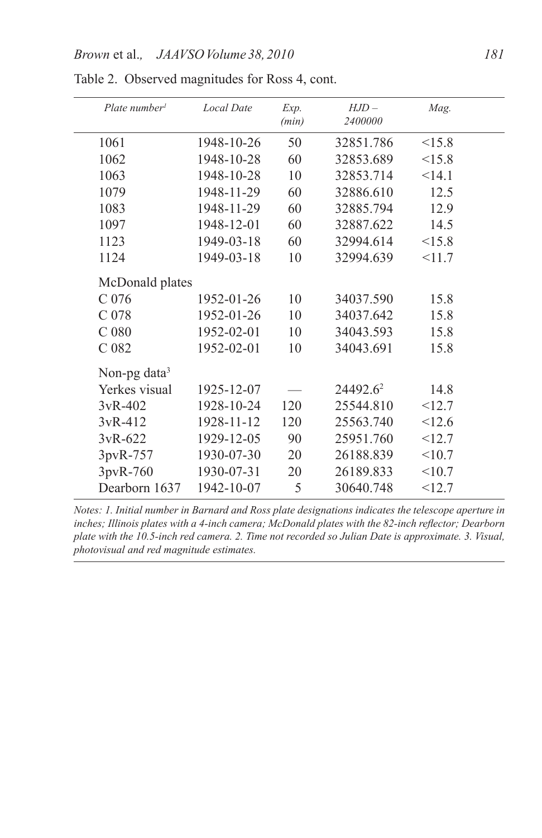| Plate number     | <b>Local Date</b> | Exp.<br>(min) | $HJD -$<br>2400000   | Mag.   |  |
|------------------|-------------------|---------------|----------------------|--------|--|
|                  |                   |               |                      |        |  |
| 1061             | 1948-10-26        | 50            | 32851.786            | <15.8  |  |
| 1062             | 1948-10-28        | 60            | 32853.689            | <15.8  |  |
| 1063             | 1948-10-28        | 10            | 32853.714            | <14.1  |  |
| 1079             | 1948-11-29        | 60            | 32886.610            | 12.5   |  |
| 1083             | 1948-11-29        | 60            | 32885.794            | 12.9   |  |
| 1097             | 1948-12-01        | 60            | 32887.622            | 14.5   |  |
| 1123             | 1949-03-18        | 60            | 32994.614            | <15.8  |  |
| 1124             | 1949-03-18        | 10            | 32994.639            | <11.7  |  |
| McDonald plates  |                   |               |                      |        |  |
| C <sub>076</sub> | 1952-01-26        | 10            | 34037.590            | 15.8   |  |
| C <sub>078</sub> | 1952-01-26        | 10            | 34037.642            | 15.8   |  |
| C <sub>080</sub> | 1952-02-01        | 10            | 34043.593            | 15.8   |  |
| C <sub>082</sub> | 1952-02-01        | 10            | 34043.691            | 15.8   |  |
| Non-pg data $3$  |                   |               |                      |        |  |
| Yerkes visual    | 1925-12-07        |               | 24492.6 <sup>2</sup> | 14.8   |  |
| $3vR - 402$      | 1928-10-24        | 120           | 25544.810            | <12.7  |  |
| $3vR-412$        | 1928-11-12        | 120           | 25563.740            | < 12.6 |  |
| $3vR - 622$      | 1929-12-05        | 90            | 25951.760            | <12.7  |  |
| 3pvR-757         | 1930-07-30        | 20            | 26188.839            | <10.7  |  |
| 3pvR-760         | 1930-07-31        | 20            | 26189.833            | <10.7  |  |
| Dearborn 1637    | 1942-10-07        | 5             | 30640.748            | <12.7  |  |
|                  |                   |               |                      |        |  |

Table 2. Observed magnitudes for Ross 4, cont.

*Notes: 1. Initial number in Barnard and Ross plate designations indicates the telescope aperture in inches; Illinois plates with a 4-inch camera; McDonald plates with the 82-inch reflector; Dearborn plate with the 10.5-inch red camera. 2. Time not recorded so Julian Date is approximate. 3. Visual, photovisual and red magnitude estimates.*